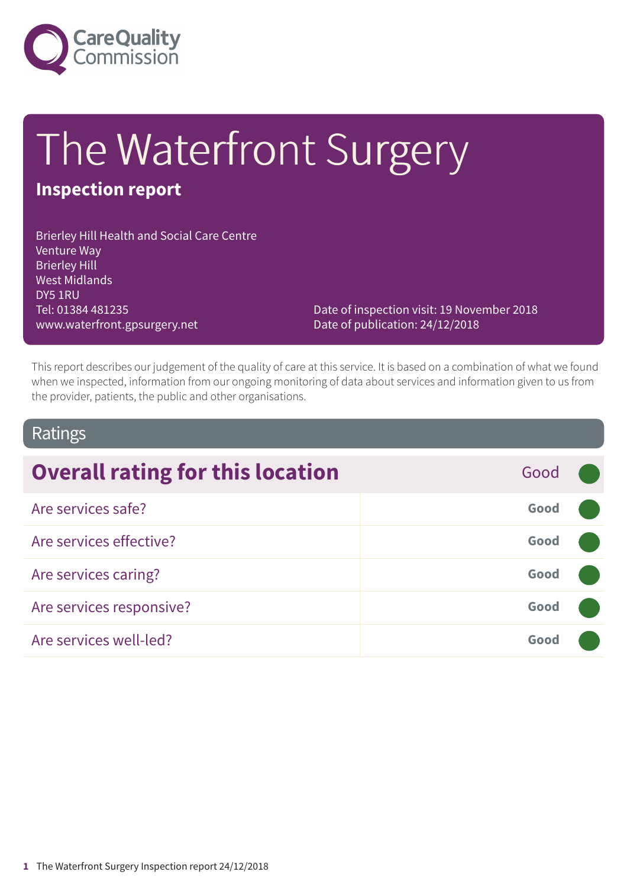

# The Waterfront Surgery

### **Inspection report**

Brierley Hill Health and Social Care Centre Venture Way Brierley Hill West Midlands DY5 1RU Tel: 01384 481235 www.waterfront.gpsurgery.net

Date of inspection visit: 19 November 2018 Date of publication: 24/12/2018

This report describes our judgement of the quality of care at this service. It is based on a combination of what we found when we inspected, information from our ongoing monitoring of data about services and information given to us from the provider, patients, the public and other organisations.

### Ratings

| <b>Overall rating for this location</b> | Good |  |
|-----------------------------------------|------|--|
| Are services safe?                      | Good |  |
| Are services effective?                 | Good |  |
| Are services caring?                    | Good |  |
| Are services responsive?                | Good |  |
| Are services well-led?                  | Good |  |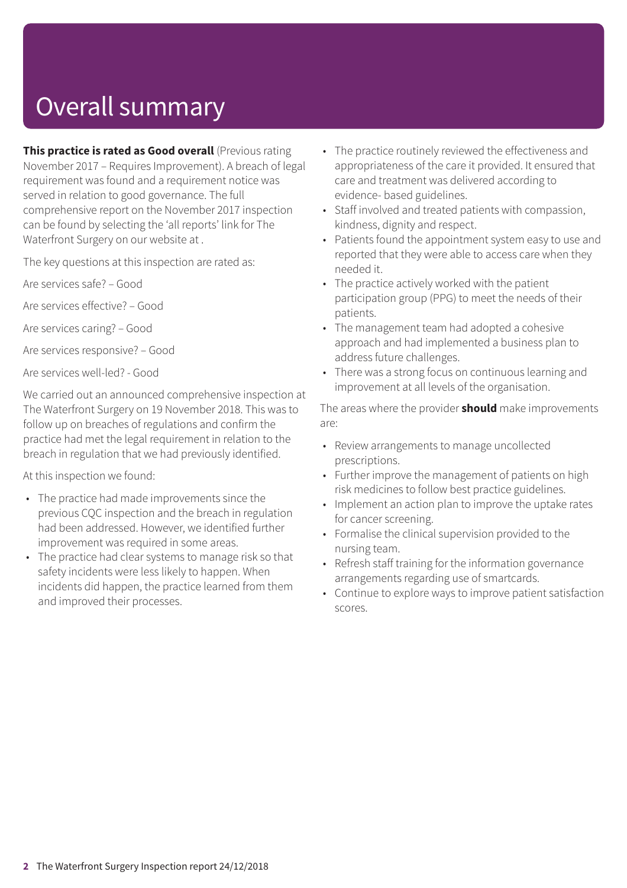# Overall summary

**This practice is rated as Good overall** (Previous rating November 2017 – Requires Improvement). A breach of legal requirement was found and a requirement notice was served in relation to good governance. The full comprehensive report on the November 2017 inspection can be found by selecting the 'all reports' link for The Waterfront Surgery on our website at .

The key questions at this inspection are rated as:

Are services safe? – Good

Are services effective? – Good

Are services caring? – Good

Are services responsive? – Good

Are services well-led? - Good

We carried out an announced comprehensive inspection at The Waterfront Surgery on 19 November 2018. This was to follow up on breaches of regulations and confirm the practice had met the legal requirement in relation to the breach in regulation that we had previously identified.

At this inspection we found:

- The practice had made improvements since the previous CQC inspection and the breach in regulation had been addressed. However, we identified further improvement was required in some areas.
- The practice had clear systems to manage risk so that safety incidents were less likely to happen. When incidents did happen, the practice learned from them and improved their processes.
- The practice routinely reviewed the effectiveness and appropriateness of the care it provided. It ensured that care and treatment was delivered according to evidence- based guidelines.
- Staff involved and treated patients with compassion, kindness, dignity and respect.
- Patients found the appointment system easy to use and reported that they were able to access care when they needed it.
- The practice actively worked with the patient participation group (PPG) to meet the needs of their patients.
- The management team had adopted a cohesive approach and had implemented a business plan to address future challenges.
- There was a strong focus on continuous learning and improvement at all levels of the organisation.

The areas where the provider **should** make improvements are:

- Review arrangements to manage uncollected prescriptions.
- Further improve the management of patients on high risk medicines to follow best practice guidelines.
- Implement an action plan to improve the uptake rates for cancer screening.
- Formalise the clinical supervision provided to the nursing team.
- Refresh staff training for the information governance arrangements regarding use of smartcards.
- Continue to explore ways to improve patient satisfaction scores.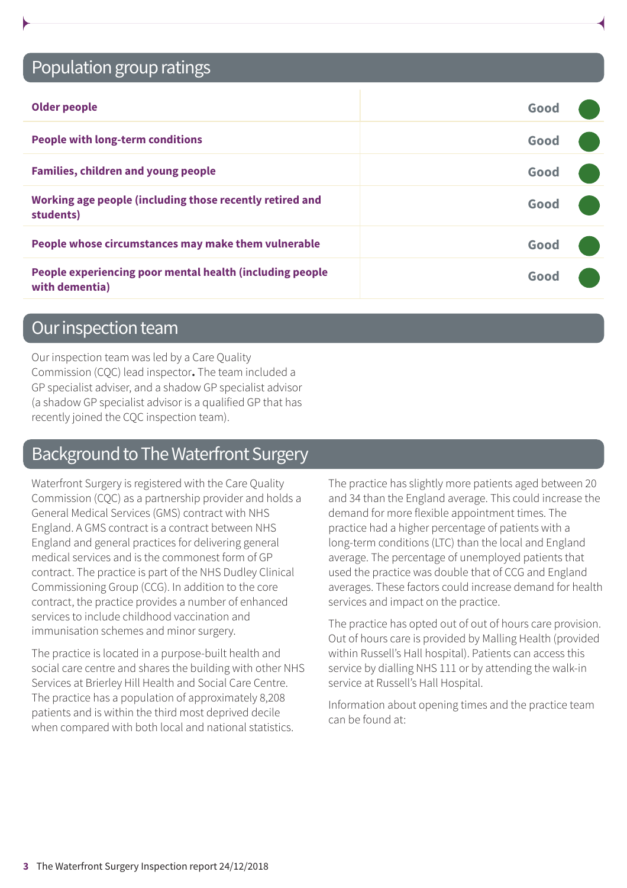### Population group ratings

| <b>Older people</b>                                                        | Good |  |
|----------------------------------------------------------------------------|------|--|
| <b>People with long-term conditions</b>                                    | Good |  |
| <b>Families, children and young people</b>                                 | Good |  |
| Working age people (including those recently retired and<br>students)      | Good |  |
| People whose circumstances may make them vulnerable                        | Good |  |
| People experiencing poor mental health (including people<br>with dementia) | Good |  |

### Our inspection team

Our inspection team was led by a Care Quality Commission (CQC) lead inspector**.** The team included a GP specialist adviser, and a shadow GP specialist advisor (a shadow GP specialist advisor is a qualified GP that has recently joined the CQC inspection team).

### Background to The Waterfront Surgery

Waterfront Surgery is registered with the Care Quality Commission (CQC) as a partnership provider and holds a General Medical Services (GMS) contract with NHS England. A GMS contract is a contract between NHS England and general practices for delivering general medical services and is the commonest form of GP contract. The practice is part of the NHS Dudley Clinical Commissioning Group (CCG). In addition to the core contract, the practice provides a number of enhanced services to include childhood vaccination and immunisation schemes and minor surgery.

The practice is located in a purpose-built health and social care centre and shares the building with other NHS Services at Brierley Hill Health and Social Care Centre. The practice has a population of approximately 8,208 patients and is within the third most deprived decile when compared with both local and national statistics.

The practice has slightly more patients aged between 20 and 34 than the England average. This could increase the demand for more flexible appointment times. The practice had a higher percentage of patients with a long-term conditions (LTC) than the local and England average. The percentage of unemployed patients that used the practice was double that of CCG and England averages. These factors could increase demand for health services and impact on the practice.

The practice has opted out of out of hours care provision. Out of hours care is provided by Malling Health (provided within Russell's Hall hospital). Patients can access this service by dialling NHS 111 or by attending the walk-in service at Russell's Hall Hospital.

Information about opening times and the practice team can be found at: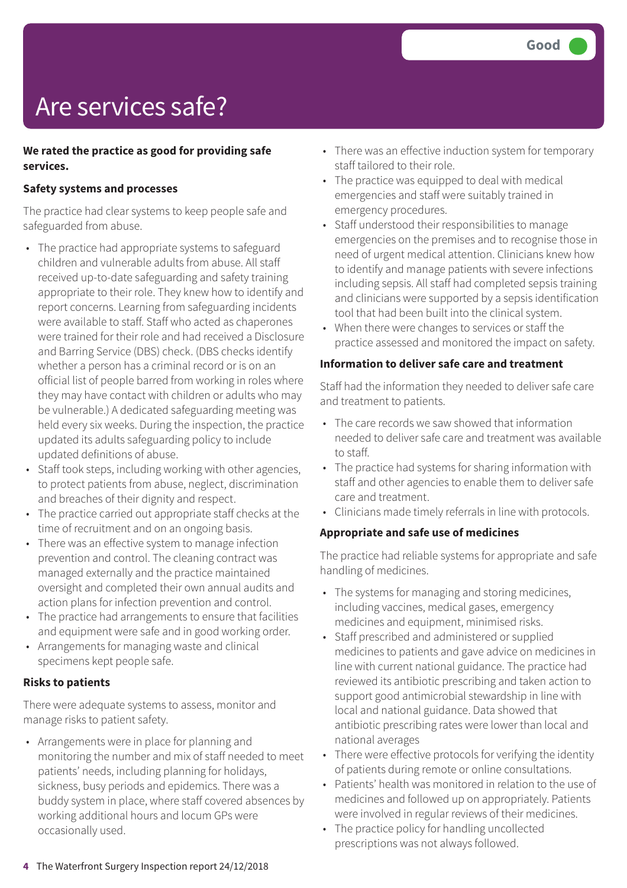# Are services safe?

#### **We rated the practice as good for providing safe services.**

#### **Safety systems and processes**

The practice had clear systems to keep people safe and safeguarded from abuse.

- The practice had appropriate systems to safeguard children and vulnerable adults from abuse. All staff received up-to-date safeguarding and safety training appropriate to their role. They knew how to identify and report concerns. Learning from safeguarding incidents were available to staff. Staff who acted as chaperones were trained for their role and had received a Disclosure and Barring Service (DBS) check. (DBS checks identify whether a person has a criminal record or is on an official list of people barred from working in roles where they may have contact with children or adults who may be vulnerable.) A dedicated safeguarding meeting was held every six weeks. During the inspection, the practice updated its adults safeguarding policy to include updated definitions of abuse.
- Staff took steps, including working with other agencies, to protect patients from abuse, neglect, discrimination and breaches of their dignity and respect.
- The practice carried out appropriate staff checks at the time of recruitment and on an ongoing basis.
- There was an effective system to manage infection prevention and control. The cleaning contract was managed externally and the practice maintained oversight and completed their own annual audits and action plans for infection prevention and control.
- The practice had arrangements to ensure that facilities and equipment were safe and in good working order.
- Arrangements for managing waste and clinical specimens kept people safe.

#### **Risks to patients**

There were adequate systems to assess, monitor and manage risks to patient safety.

• Arrangements were in place for planning and monitoring the number and mix of staff needed to meet patients' needs, including planning for holidays, sickness, busy periods and epidemics. There was a buddy system in place, where staff covered absences by working additional hours and locum GPs were occasionally used.

- There was an effective induction system for temporary staff tailored to their role.
- The practice was equipped to deal with medical emergencies and staff were suitably trained in emergency procedures.
- Staff understood their responsibilities to manage emergencies on the premises and to recognise those in need of urgent medical attention. Clinicians knew how to identify and manage patients with severe infections including sepsis. All staff had completed sepsis training and clinicians were supported by a sepsis identification tool that had been built into the clinical system.
- When there were changes to services or staff the practice assessed and monitored the impact on safety.

#### **Information to deliver safe care and treatment**

Staff had the information they needed to deliver safe care and treatment to patients.

- The care records we saw showed that information needed to deliver safe care and treatment was available to staff.
- The practice had systems for sharing information with staff and other agencies to enable them to deliver safe care and treatment.
- Clinicians made timely referrals in line with protocols.

#### **Appropriate and safe use of medicines**

The practice had reliable systems for appropriate and safe handling of medicines.

- The systems for managing and storing medicines, including vaccines, medical gases, emergency medicines and equipment, minimised risks.
- Staff prescribed and administered or supplied medicines to patients and gave advice on medicines in line with current national guidance. The practice had reviewed its antibiotic prescribing and taken action to support good antimicrobial stewardship in line with local and national guidance. Data showed that antibiotic prescribing rates were lower than local and national averages
- There were effective protocols for verifying the identity of patients during remote or online consultations.
- Patients' health was monitored in relation to the use of medicines and followed up on appropriately. Patients were involved in regular reviews of their medicines.
- The practice policy for handling uncollected prescriptions was not always followed.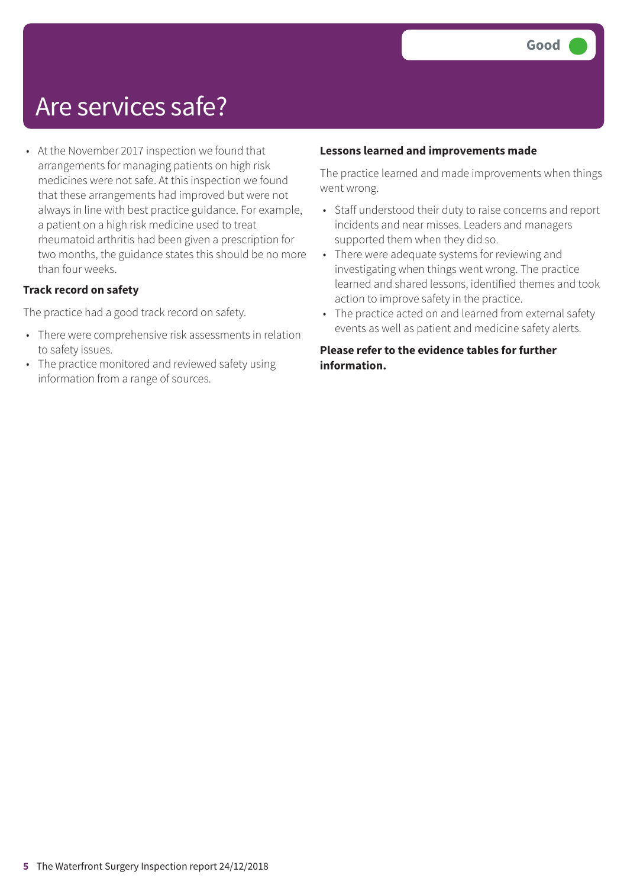### Are services safe?

• At the November 2017 inspection we found that arrangements for managing patients on high risk medicines were not safe. At this inspection we found that these arrangements had improved but were not always in line with best practice guidance. For example, a patient on a high risk medicine used to treat rheumatoid arthritis had been given a prescription for two months, the guidance states this should be no more than four weeks.

#### **Track record on safety**

The practice had a good track record on safety.

- There were comprehensive risk assessments in relation to safety issues.
- The practice monitored and reviewed safety using information from a range of sources.

#### **Lessons learned and improvements made**

The practice learned and made improvements when things went wrong.

- Staff understood their duty to raise concerns and report incidents and near misses. Leaders and managers supported them when they did so.
- There were adequate systems for reviewing and investigating when things went wrong. The practice learned and shared lessons, identified themes and took action to improve safety in the practice.
- The practice acted on and learned from external safety events as well as patient and medicine safety alerts.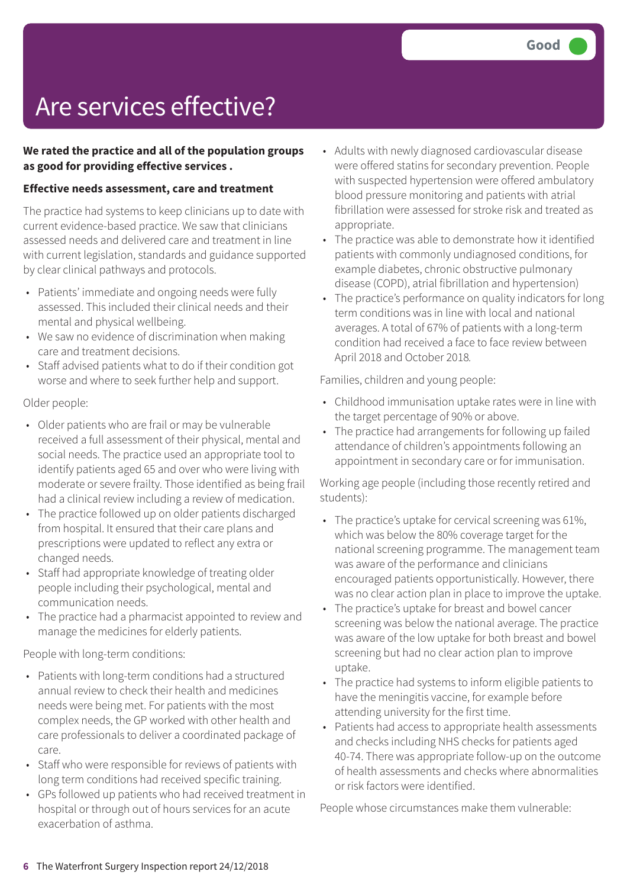# Are services effective?

#### **We rated the practice and all of the population groups as good for providing effective services .**

#### **Effective needs assessment, care and treatment**

The practice had systems to keep clinicians up to date with current evidence-based practice. We saw that clinicians assessed needs and delivered care and treatment in line with current legislation, standards and guidance supported by clear clinical pathways and protocols.

- Patients' immediate and ongoing needs were fully assessed. This included their clinical needs and their mental and physical wellbeing.
- We saw no evidence of discrimination when making care and treatment decisions.
- Staff advised patients what to do if their condition got worse and where to seek further help and support.

Older people:

- Older patients who are frail or may be vulnerable received a full assessment of their physical, mental and social needs. The practice used an appropriate tool to identify patients aged 65 and over who were living with moderate or severe frailty. Those identified as being frail had a clinical review including a review of medication.
- The practice followed up on older patients discharged from hospital. It ensured that their care plans and prescriptions were updated to reflect any extra or changed needs.
- Staff had appropriate knowledge of treating older people including their psychological, mental and communication needs.
- The practice had a pharmacist appointed to review and manage the medicines for elderly patients.

People with long-term conditions:

- Patients with long-term conditions had a structured annual review to check their health and medicines needs were being met. For patients with the most complex needs, the GP worked with other health and care professionals to deliver a coordinated package of care.
- Staff who were responsible for reviews of patients with long term conditions had received specific training.
- GPs followed up patients who had received treatment in hospital or through out of hours services for an acute exacerbation of asthma.
- Adults with newly diagnosed cardiovascular disease were offered statins for secondary prevention. People with suspected hypertension were offered ambulatory blood pressure monitoring and patients with atrial fibrillation were assessed for stroke risk and treated as appropriate.
- The practice was able to demonstrate how it identified patients with commonly undiagnosed conditions, for example diabetes, chronic obstructive pulmonary disease (COPD), atrial fibrillation and hypertension)
- The practice's performance on quality indicators for long term conditions was in line with local and national averages. A total of 67% of patients with a long-term condition had received a face to face review between April 2018 and October 2018*.*

Families, children and young people:

- Childhood immunisation uptake rates were in line with the target percentage of 90% or above.
- The practice had arrangements for following up failed attendance of children's appointments following an appointment in secondary care or for immunisation.

Working age people (including those recently retired and students):

- The practice's uptake for cervical screening was 61%, which was below the 80% coverage target for the national screening programme. The management team was aware of the performance and clinicians encouraged patients opportunistically. However, there was no clear action plan in place to improve the uptake.
- The practice's uptake for breast and bowel cancer screening was below the national average. The practice was aware of the low uptake for both breast and bowel screening but had no clear action plan to improve uptake.
- The practice had systems to inform eligible patients to have the meningitis vaccine, for example before attending university for the first time.
- Patients had access to appropriate health assessments and checks including NHS checks for patients aged 40-74. There was appropriate follow-up on the outcome of health assessments and checks where abnormalities or risk factors were identified.

People whose circumstances make them vulnerable: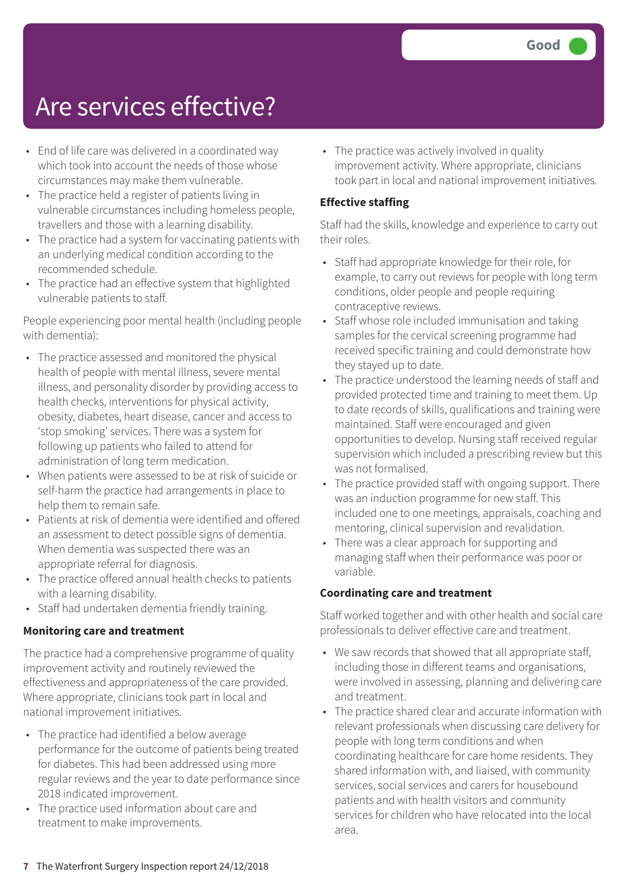### Are services effective?

- End of life care was delivered in a coordinated way which took into account the needs of those whose circumstances may make them vulnerable.
- The practice held a register of patients living in vulnerable circumstances including homeless people, travellers and those with a learning disability.
- The practice had a system for vaccinating patients with an underlying medical condition according to the recommended schedule.
- The practice had an effective system that highlighted vulnerable patients to staff.

People experiencing poor mental health (including people with dementia):

- The practice assessed and monitored the physical health of people with mental illness, severe mental illness, and personality disorder by providing access to health checks, interventions for physical activity, obesity, diabetes, heart disease, cancer and access to 'stop smoking' services. There was a system for following up patients who failed to attend for administration of long term medication.
- When patients were assessed to be at risk of suicide or self-harm the practice had arrangements in place to help them to remain safe.
- Patients at risk of dementia were identified and offered an assessment to detect possible signs of dementia. When dementia was suspected there was an appropriate referral for diagnosis.
- The practice offered annual health checks to patients with a learning disability.
- Staff had undertaken dementia friendly training.

#### **Monitoring care and treatment**

The practice had a comprehensive programme of quality improvement activity and routinely reviewed the effectiveness and appropriateness of the care provided. Where appropriate, clinicians took part in local and national improvement initiatives.

- The practice had identified a below average performance for the outcome of patients being treated for diabetes. This had been addressed using more regular reviews and the year to date performance since 2018 indicated improvement.
- The practice used information about care and treatment to make improvements.

• The practice was actively involved in quality improvement activity. Where appropriate, clinicians took part in local and national improvement initiatives*.*

#### **Effective staffing**

Staff had the skills, knowledge and experience to carry out their roles.

- Staff had appropriate knowledge for their role, for example, to carry out reviews for people with long term conditions, older people and people requiring contraceptive reviews.
- Staff whose role included immunisation and taking samples for the cervical screening programme had received specific training and could demonstrate how they stayed up to date.
- The practice understood the learning needs of staff and provided protected time and training to meet them. Up to date records of skills, qualifications and training were maintained. Staff were encouraged and given opportunities to develop. Nursing staff received regular supervision which included a prescribing review but this was not formalised.
- The practice provided staff with ongoing support. There was an induction programme for new staff. This included one to one meetings, appraisals, coaching and mentoring, clinical supervision and revalidation.
- There was a clear approach for supporting and managing staff when their performance was poor or variable.

#### **Coordinating care and treatment**

Staff worked together and with other health and social care professionals to deliver effective care and treatment.

- We saw records that showed that all appropriate staff, including those in different teams and organisations, were involved in assessing, planning and delivering care and treatment.
- The practice shared clear and accurate information with relevant professionals when discussing care delivery for people with long term conditions and when coordinating healthcare for care home residents. They shared information with, and liaised, with community services, social services and carers for housebound patients and with health visitors and community services for children who have relocated into the local area.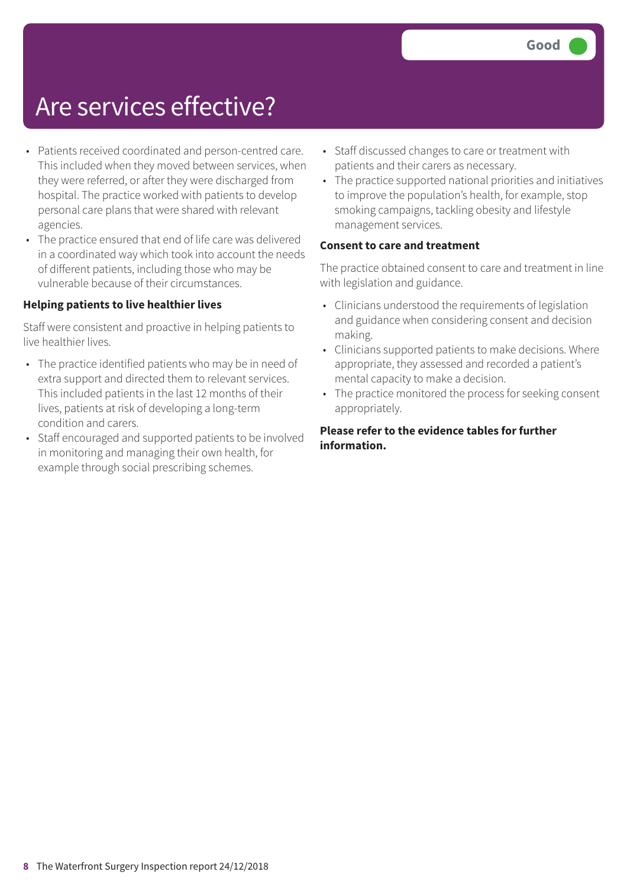### Are services effective?

- Patients received coordinated and person-centred care. This included when they moved between services, when they were referred, or after they were discharged from hospital. The practice worked with patients to develop personal care plans that were shared with relevant agencies.
- The practice ensured that end of life care was delivered in a coordinated way which took into account the needs of different patients, including those who may be vulnerable because of their circumstances.

#### **Helping patients to live healthier lives**

Staff were consistent and proactive in helping patients to live healthier lives.

- The practice identified patients who may be in need of extra support and directed them to relevant services. This included patients in the last 12 months of their lives, patients at risk of developing a long-term condition and carers.
- Staff encouraged and supported patients to be involved in monitoring and managing their own health, for example through social prescribing schemes.
- Staff discussed changes to care or treatment with patients and their carers as necessary.
- The practice supported national priorities and initiatives to improve the population's health, for example, stop smoking campaigns, tackling obesity and lifestyle management services.

#### **Consent to care and treatment**

The practice obtained consent to care and treatment in line with legislation and guidance.

- Clinicians understood the requirements of legislation and guidance when considering consent and decision making.
- Clinicians supported patients to make decisions. Where appropriate, they assessed and recorded a patient's mental capacity to make a decision.
- The practice monitored the process for seeking consent appropriately.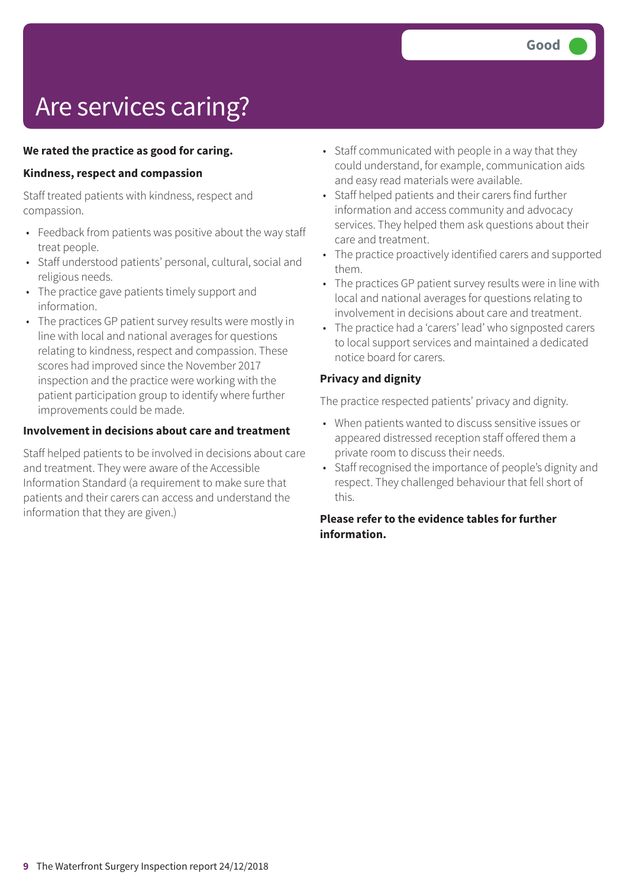# Are services caring?

#### **We rated the practice as good for caring.**

#### **Kindness, respect and compassion**

Staff treated patients with kindness, respect and compassion.

- Feedback from patients was positive about the way staff treat people.
- Staff understood patients' personal, cultural, social and religious needs.
- The practice gave patients timely support and information.
- The practices GP patient survey results were mostly in line with local and national averages for questions relating to kindness, respect and compassion. These scores had improved since the November 2017 inspection and the practice were working with the patient participation group to identify where further improvements could be made.

#### **Involvement in decisions about care and treatment**

Staff helped patients to be involved in decisions about care and treatment. They were aware of the Accessible Information Standard (a requirement to make sure that patients and their carers can access and understand the information that they are given.)

- Staff communicated with people in a way that they could understand, for example, communication aids and easy read materials were available.
- Staff helped patients and their carers find further information and access community and advocacy services. They helped them ask questions about their care and treatment.
- The practice proactively identified carers and supported them.
- The practices GP patient survey results were in line with local and national averages for questions relating to involvement in decisions about care and treatment.
- The practice had a 'carers' lead' who signposted carers to local support services and maintained a dedicated notice board for carers.

#### **Privacy and dignity**

The practice respected patients' privacy and dignity.

- When patients wanted to discuss sensitive issues or appeared distressed reception staff offered them a private room to discuss their needs.
- Staff recognised the importance of people's dignity and respect. They challenged behaviour that fell short of this.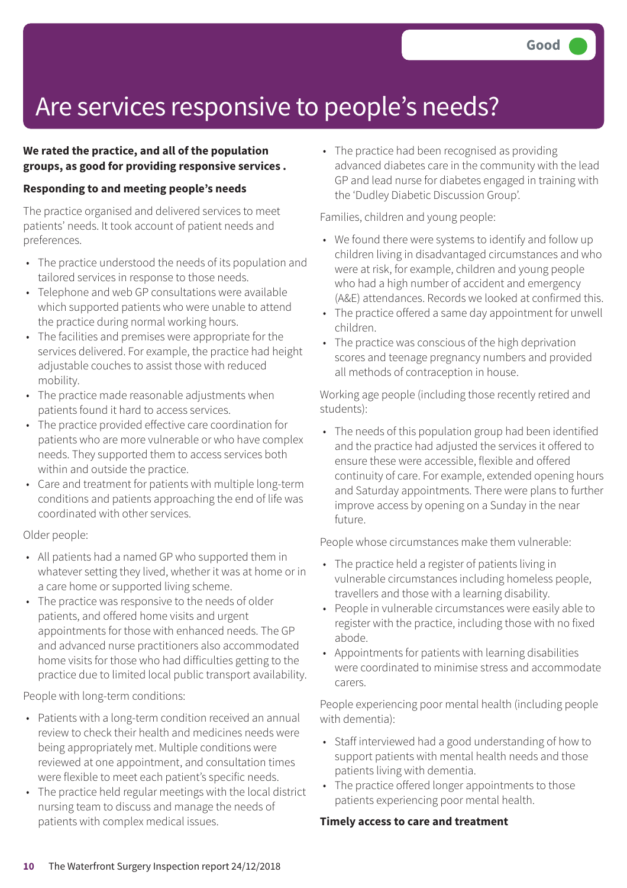## Are services responsive to people's needs?

#### **We rated the practice, and all of the population groups, as good for providing responsive services .**

#### **Responding to and meeting people's needs**

The practice organised and delivered services to meet patients' needs. It took account of patient needs and preferences.

- The practice understood the needs of its population and tailored services in response to those needs.
- Telephone and web GP consultations were available which supported patients who were unable to attend the practice during normal working hours.
- The facilities and premises were appropriate for the services delivered. For example, the practice had height adjustable couches to assist those with reduced mobility.
- The practice made reasonable adjustments when patients found it hard to access services.
- The practice provided effective care coordination for patients who are more vulnerable or who have complex needs. They supported them to access services both within and outside the practice.
- Care and treatment for patients with multiple long-term conditions and patients approaching the end of life was coordinated with other services.

#### Older people:

- All patients had a named GP who supported them in whatever setting they lived, whether it was at home or in a care home or supported living scheme.
- The practice was responsive to the needs of older patients, and offered home visits and urgent appointments for those with enhanced needs. The GP and advanced nurse practitioners also accommodated home visits for those who had difficulties getting to the practice due to limited local public transport availability.

People with long-term conditions:

- Patients with a long-term condition received an annual review to check their health and medicines needs were being appropriately met. Multiple conditions were reviewed at one appointment, and consultation times were flexible to meet each patient's specific needs.
- The practice held regular meetings with the local district nursing team to discuss and manage the needs of patients with complex medical issues.

• The practice had been recognised as providing advanced diabetes care in the community with the lead GP and lead nurse for diabetes engaged in training with the 'Dudley Diabetic Discussion Group'.

Families, children and young people:

- We found there were systems to identify and follow up children living in disadvantaged circumstances and who were at risk, for example, children and young people who had a high number of accident and emergency (A&E) attendances. Records we looked at confirmed this.
- The practice offered a same day appointment for unwell children.
- The practice was conscious of the high deprivation scores and teenage pregnancy numbers and provided all methods of contraception in house.

Working age people (including those recently retired and students):

• The needs of this population group had been identified and the practice had adjusted the services it offered to ensure these were accessible, flexible and offered continuity of care. For example, extended opening hours and Saturday appointments. There were plans to further improve access by opening on a Sunday in the near future.

People whose circumstances make them vulnerable:

- The practice held a register of patients living in vulnerable circumstances including homeless people, travellers and those with a learning disability.
- People in vulnerable circumstances were easily able to register with the practice, including those with no fixed abode.
- Appointments for patients with learning disabilities were coordinated to minimise stress and accommodate carers.

People experiencing poor mental health (including people with dementia):

- Staff interviewed had a good understanding of how to support patients with mental health needs and those patients living with dementia.
- The practice offered longer appointments to those patients experiencing poor mental health.

#### **Timely access to care and treatment**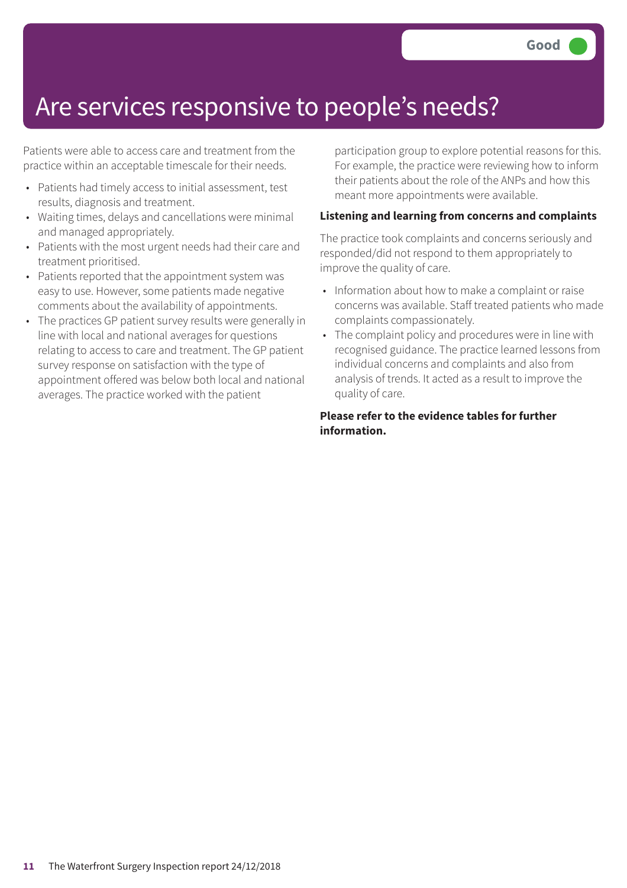### Are services responsive to people's needs?

Patients were able to access care and treatment from the practice within an acceptable timescale for their needs.

- Patients had timely access to initial assessment, test results, diagnosis and treatment.
- Waiting times, delays and cancellations were minimal and managed appropriately.
- Patients with the most urgent needs had their care and treatment prioritised.
- Patients reported that the appointment system was easy to use. However, some patients made negative comments about the availability of appointments.
- The practices GP patient survey results were generally in line with local and national averages for questions relating to access to care and treatment. The GP patient survey response on satisfaction with the type of appointment offered was below both local and national averages. The practice worked with the patient

participation group to explore potential reasons for this. For example, the practice were reviewing how to inform their patients about the role of the ANPs and how this meant more appointments were available.

#### **Listening and learning from concerns and complaints**

The practice took complaints and concerns seriously and responded/did not respond to them appropriately to improve the quality of care.

- Information about how to make a complaint or raise concerns was available. Staff treated patients who made complaints compassionately.
- The complaint policy and procedures were in line with recognised guidance. The practice learned lessons from individual concerns and complaints and also from analysis of trends. It acted as a result to improve the quality of care.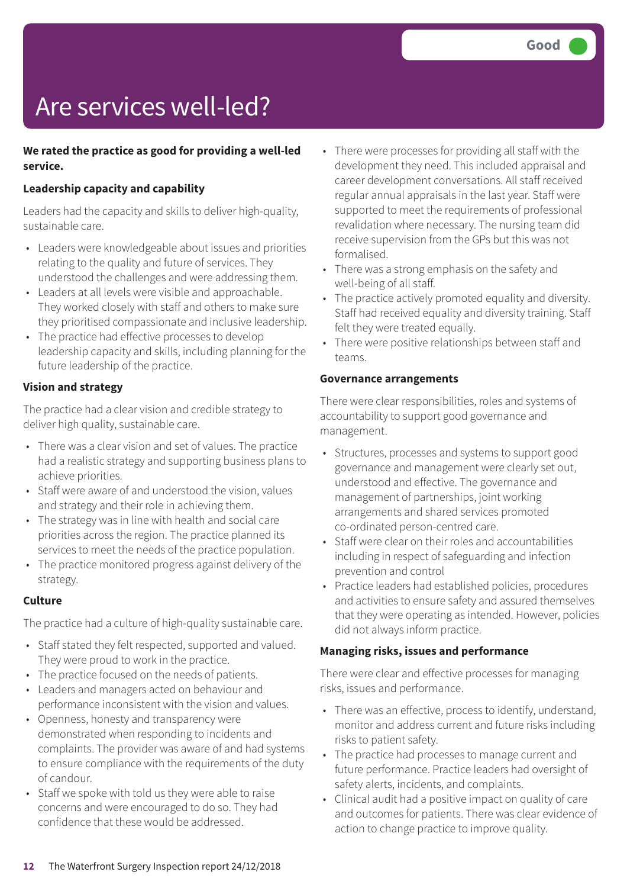# Are services well-led?

#### **We rated the practice as good for providing a well-led service.**

#### **Leadership capacity and capability**

Leaders had the capacity and skills to deliver high-quality, sustainable care.

- Leaders were knowledgeable about issues and priorities relating to the quality and future of services. They understood the challenges and were addressing them.
- Leaders at all levels were visible and approachable. They worked closely with staff and others to make sure they prioritised compassionate and inclusive leadership.
- The practice had effective processes to develop leadership capacity and skills, including planning for the future leadership of the practice.

#### **Vision and strategy**

The practice had a clear vision and credible strategy to deliver high quality, sustainable care.

- There was a clear vision and set of values. The practice had a realistic strategy and supporting business plans to achieve priorities.
- Staff were aware of and understood the vision, values and strategy and their role in achieving them.
- The strategy was in line with health and social care priorities across the region. The practice planned its services to meet the needs of the practice population.
- The practice monitored progress against delivery of the strategy.

#### **Culture**

The practice had a culture of high-quality sustainable care.

- Staff stated they felt respected, supported and valued. They were proud to work in the practice.
- The practice focused on the needs of patients.
- Leaders and managers acted on behaviour and performance inconsistent with the vision and values.
- Openness, honesty and transparency were demonstrated when responding to incidents and complaints. The provider was aware of and had systems to ensure compliance with the requirements of the duty of candour.
- Staff we spoke with told us they were able to raise concerns and were encouraged to do so. They had confidence that these would be addressed.
- There were processes for providing all staff with the development they need. This included appraisal and career development conversations. All staff received regular annual appraisals in the last year. Staff were supported to meet the requirements of professional revalidation where necessary. The nursing team did receive supervision from the GPs but this was not formalised.
- There was a strong emphasis on the safety and well-being of all staff.
- The practice actively promoted equality and diversity. Staff had received equality and diversity training. Staff felt they were treated equally.
- There were positive relationships between staff and teams.

#### **Governance arrangements**

There were clear responsibilities, roles and systems of accountability to support good governance and management.

- Structures, processes and systems to support good governance and management were clearly set out, understood and effective. The governance and management of partnerships, joint working arrangements and shared services promoted co-ordinated person-centred care.
- Staff were clear on their roles and accountabilities including in respect of safeguarding and infection prevention and control
- Practice leaders had established policies, procedures and activities to ensure safety and assured themselves that they were operating as intended. However, policies did not always inform practice.

#### **Managing risks, issues and performance**

There were clear and effective processes for managing risks, issues and performance.

- There was an effective, process to identify, understand, monitor and address current and future risks including risks to patient safety.
- The practice had processes to manage current and future performance. Practice leaders had oversight of safety alerts, incidents, and complaints.
- Clinical audit had a positive impact on quality of care and outcomes for patients. There was clear evidence of action to change practice to improve quality.